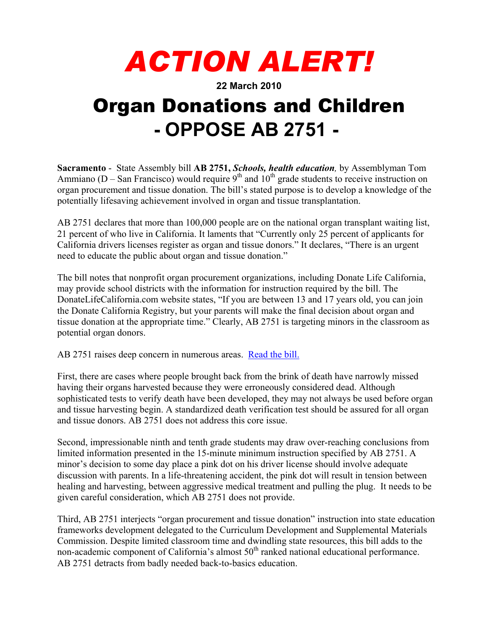## *ACTION ALERT!*

**22 March 2010** 

## Organ Donations and Children **- OPPOSE AB 2751 -**

**Sacramento** - State Assembly bill **AB 2751,** *Schools, health education,* by Assemblyman Tom Ammiano (D – San Francisco) would require  $9<sup>th</sup>$  and  $10<sup>th</sup>$  grade students to receive instruction on organ procurement and tissue donation. The bill's stated purpose is to develop a knowledge of the potentially lifesaving achievement involved in organ and tissue transplantation.

AB 2751 declares that more than 100,000 people are on the national organ transplant waiting list, 21 percent of who live in California. It laments that "Currently only 25 percent of applicants for California drivers licenses register as organ and tissue donors." It declares, "There is an urgent need to educate the public about organ and tissue donation."

The bill notes that nonprofit organ procurement organizations, including Donate Life California, may provide school districts with the information for instruction required by the bill. The DonateLifeCalifornia.com website states, "If you are between 13 and 17 years old, you can join the Donate California Registry, but your parents will make the final decision about organ and tissue donation at the appropriate time." Clearly, AB 2751 is targeting minors in the classroom as potential organ donors.

AB 2751 raises deep concern in numerous areas. [Read the bill.](http://www.leginfo.ca.gov/pub/09-10/bill/asm/ab_2751-2800/ab_2751_bill_20100219_introduced.html)

First, there are cases where people brought back from the brink of death have narrowly missed having their organs harvested because they were erroneously considered dead. Although sophisticated tests to verify death have been developed, they may not always be used before organ and tissue harvesting begin. A standardized death verification test should be assured for all organ and tissue donors. AB 2751 does not address this core issue.

Second, impressionable ninth and tenth grade students may draw over-reaching conclusions from limited information presented in the 15-minute minimum instruction specified by AB 2751. A minor's decision to some day place a pink dot on his driver license should involve adequate discussion with parents. In a life-threatening accident, the pink dot will result in tension between healing and harvesting, between aggressive medical treatment and pulling the plug. It needs to be given careful consideration, which AB 2751 does not provide.

Third, AB 2751 interjects "organ procurement and tissue donation" instruction into state education frameworks development delegated to the Curriculum Development and Supplemental Materials Commission. Despite limited classroom time and dwindling state resources, this bill adds to the non-academic component of California's almost 50<sup>th</sup> ranked national educational performance. AB 2751 detracts from badly needed back-to-basics education.